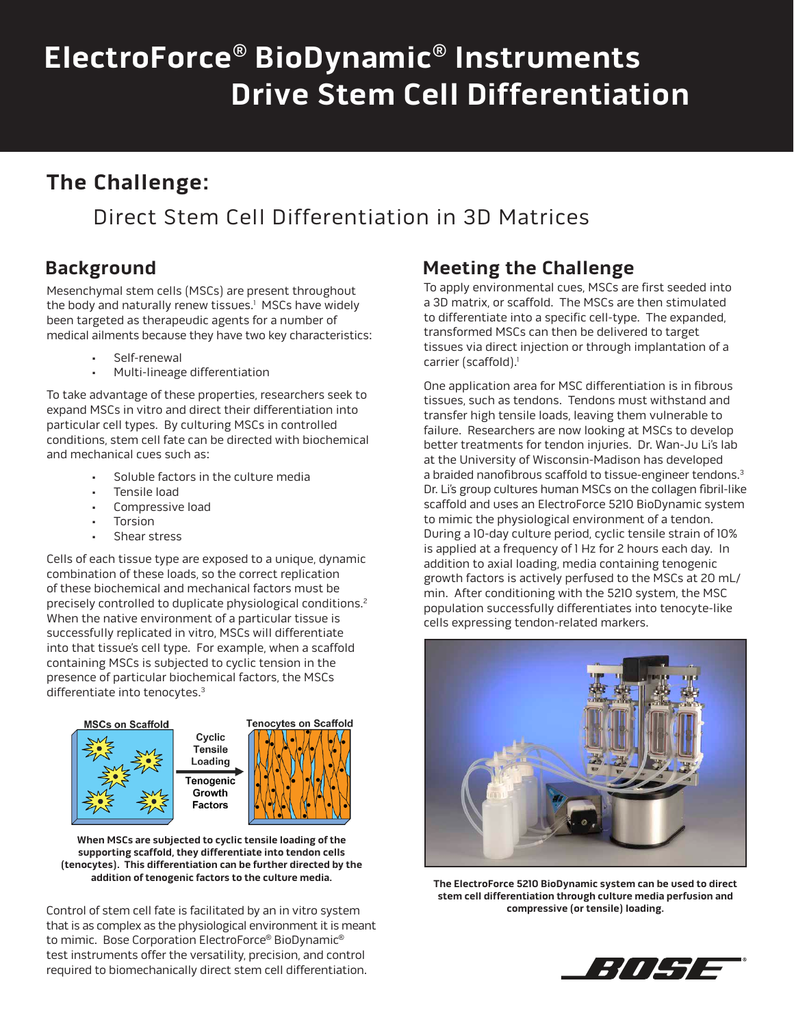# **ElectroForce® BioDynamic® Instruments Drive Stem Cell Differentiation**

# **The Challenge:**

## Direct Stem Cell Differentiation in 3D Matrices

### **Background**

Mesenchymal stem cells (MSCs) are present throughout the body and naturally renew tissues.<sup>1</sup> MSCs have widely been targeted as therapeudic agents for a number of medical ailments because they have two key characteristics:

- Self-renewal
- Multi-lineage differentiation

To take advantage of these properties, researchers seek to expand MSCs in vitro and direct their differentiation into particular cell types. By culturing MSCs in controlled conditions, stem cell fate can be directed with biochemical and mechanical cues such as:

- Soluble factors in the culture media
- Tensile load
- Compressive load
- **Torsion**
- Shear stress

Cells of each tissue type are exposed to a unique, dynamic combination of these loads, so the correct replication of these biochemical and mechanical factors must be precisely controlled to duplicate physiological conditions.<sup>2</sup> When the native environment of a particular tissue is successfully replicated in vitro, MSCs will differentiate into that tissue's cell type. For example, when a scaffold containing MSCs is subjected to cyclic tension in the presence of particular biochemical factors, the MSCs differentiate into tenocytes.3



**When MSCs are subjected to cyclic tensile loading of the supporting scaffold, they differentiate into tendon cells (tenocytes). This differentiation can be further directed by the addition of tenogenic factors to the culture media.**

Control of stem cell fate is facilitated by an in vitro system **compressive (or tensile) loading.** that is as complex as the physiological environment it is meant to mimic. Bose Corporation ElectroForce® BioDynamic® test instruments offer the versatility, precision, and control required to biomechanically direct stem cell differentiation.

#### **Meeting the Challenge**

To apply environmental cues, MSCs are first seeded into a 3D matrix, or scaffold. The MSCs are then stimulated to differentiate into a specific cell-type. The expanded, transformed MSCs can then be delivered to target tissues via direct injection or through implantation of a carrier (scaffold).<sup>1</sup>

One application area for MSC differentiation is in fibrous tissues, such as tendons. Tendons must withstand and transfer high tensile loads, leaving them vulnerable to failure. Researchers are now looking at MSCs to develop better treatments for tendon injuries. Dr. Wan-Ju Li's lab at the University of Wisconsin-Madison has developed a braided nanofibrous scaffold to tissue-engineer tendons.<sup>3</sup> Dr. Li's group cultures human MSCs on the collagen fibril-like scaffold and uses an ElectroForce 5210 BioDynamic system to mimic the physiological environment of a tendon. During a 10-day culture period, cyclic tensile strain of 10% is applied at a frequency of 1 Hz for 2 hours each day. In addition to axial loading, media containing tenogenic growth factors is actively perfused to the MSCs at 20 mL/ min. After conditioning with the 5210 system, the MSC population successfully differentiates into tenocyte-like cells expressing tendon-related markers.



**The ElectroForce 5210 BioDynamic system can be used to direct stem cell differentiation through culture media perfusion and**